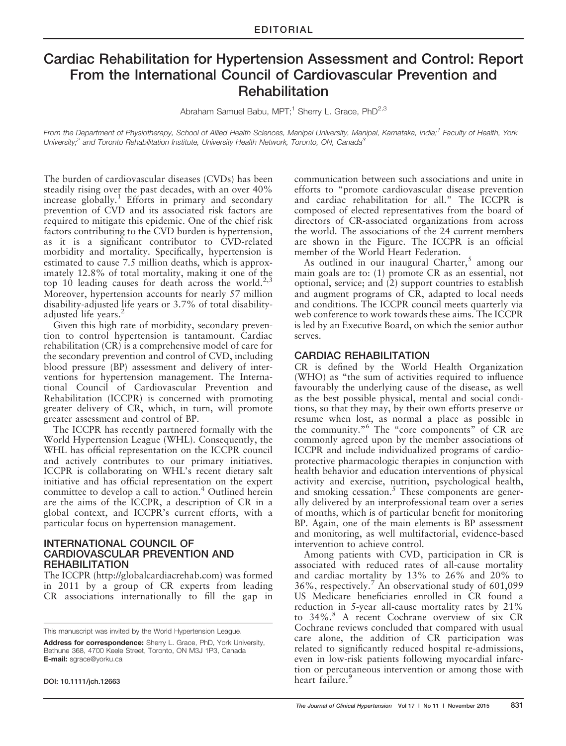# Cardiac Rehabilitation for Hypertension Assessment and Control: Report From the International Council of Cardiovascular Prevention and Rehabilitation

Abraham Samuel Babu, MPT;<sup>1</sup> Sherry L. Grace, PhD<sup>2,3</sup>

From the Department of Physiotherapy, School of Allied Health Sciences, Manipal University, Manipal, Karnataka, India;<sup>1</sup> Faculty of Health, York University;<sup>2</sup> and Toronto Rehabilitation Institute, University Health Network, Toronto, ON, Canada<sup>3</sup>

The burden of cardiovascular diseases (CVDs) has been steadily rising over the past decades, with an over 40% increase globally.<sup>1</sup> Efforts in primary and secondary prevention of CVD and its associated risk factors are required to mitigate this epidemic. One of the chief risk factors contributing to the CVD burden is hypertension, as it is a significant contributor to CVD-related morbidity and mortality. Specifically, hypertension is estimated to cause 7.5 million deaths, which is approximately 12.8% of total mortality, making it one of the top 10 leading causes for death across the world.<sup>2,3</sup> Moreover, hypertension accounts for nearly 57 million disability-adjusted life years or 3.7% of total disabilityadjusted life years.<sup>2</sup>

Given this high rate of morbidity, secondary prevention to control hypertension is tantamount. Cardiac rehabilitation (CR) is a comprehensive model of care for the secondary prevention and control of CVD, including blood pressure (BP) assessment and delivery of interventions for hypertension management. The International Council of Cardiovascular Prevention and Rehabilitation (ICCPR) is concerned with promoting greater delivery of CR, which, in turn, will promote greater assessment and control of BP.

The ICCPR has recently partnered formally with the World Hypertension League (WHL). Consequently, the WHL has official representation on the ICCPR council and actively contributes to our primary initiatives. ICCPR is collaborating on WHL's recent dietary salt initiative and has official representation on the expert committee to develop a call to action.<sup>4</sup> Outlined herein are the aims of the ICCPR, a description of CR in a global context, and ICCPR's current efforts, with a particular focus on hypertension management.

### INTERNATIONAL COUNCIL OF CARDIOVASCULAR PREVENTION AND REHABILITATION

The ICCPR [\(http://globalcardiacrehab.com](http://globalcardiacrehab.com)) was formed in 2011 by a group of CR experts from leading CR associations internationally to fill the gap in

DOI: 10.1111/jch.12663

communication between such associations and unite in efforts to "promote cardiovascular disease prevention and cardiac rehabilitation for all." The ICCPR is composed of elected representatives from the board of directors of CR-associated organizations from across the world. The associations of the 24 current members are shown in the Figure. The ICCPR is an official member of the World Heart Federation.

As outlined in our inaugural Charter, $5$  among our main goals are to: (1) promote CR as an essential, not optional, service; and (2) support countries to establish and augment programs of CR, adapted to local needs and conditions. The ICCPR council meets quarterly via web conference to work towards these aims. The ICCPR is led by an Executive Board, on which the senior author serves.

### CARDIAC REHABILITATION

CR is defined by the World Health Organization (WHO) as "the sum of activities required to influence favourably the underlying cause of the disease, as well as the best possible physical, mental and social conditions, so that they may, by their own efforts preserve or resume when lost, as normal a place as possible in the community."<sup>6</sup> The "core components" of CR are commonly agreed upon by the member associations of ICCPR and include individualized programs of cardioprotective pharmacologic therapies in conjunction with health behavior and education interventions of physical activity and exercise, nutrition, psychological health, and smoking cessation.<sup>5</sup> These components are generally delivered by an interprofessional team over a series of months, which is of particular benefit for monitoring BP. Again, one of the main elements is BP assessment and monitoring, as well multifactorial, evidence-based intervention to achieve control.

Among patients with CVD, participation in CR is associated with reduced rates of all-cause mortality and cardiac mortality by 13% to 26% and 20% to 36%, respectively.<sup>7</sup> An observational study of 601,099 US Medicare beneficiaries enrolled in CR found a reduction in 5-year all-cause mortality rates by 21% to 34%.<sup>8</sup> A recent Cochrane overview of six CR Cochrane reviews concluded that compared with usual care alone, the addition of CR participation was related to significantly reduced hospital re-admissions, even in low-risk patients following myocardial infarction or percutaneous intervention or among those with heart failure.<sup>9</sup>

This manuscript was invited by the World Hypertension League.

Address for correspondence: Sherry L. Grace, PhD, York University, Bethune 368, 4700 Keele Street, Toronto, ON M3J 1P3, Canada E-mail: sgrace@yorku.ca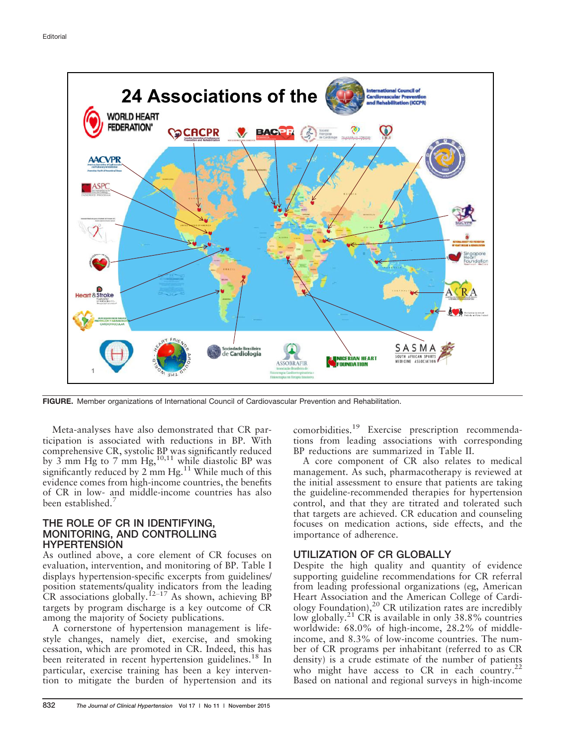

FIGURE. Member organizations of International Council of Cardiovascular Prevention and Rehabilitation.

Meta-analyses have also demonstrated that CR participation is associated with reductions in BP. With comprehensive CR, systolic BP was significantly reduced by  $3$  mm Hg to 7 mm Hg,  $^{10,11}$  while diastolic BP was significantly reduced by  $2 \text{ mm Hg}$ .<sup>11</sup> While much of this evidence comes from high-income countries, the benefits of CR in low- and middle-income countries has also been established.<sup>7</sup>

#### THE ROLE OF CR IN IDENTIFYING, MONITORING, AND CONTROLLING **HYPERTENSION**

As outlined above, a core element of CR focuses on evaluation, intervention, and monitoring of BP. Table I displays hypertension-specific excerpts from guidelines/ position statements/quality indicators from the leading CR associations globally.<sup>12–17</sup> As shown, achieving BP targets by program discharge is a key outcome of CR among the majority of Society publications.

A cornerstone of hypertension management is lifestyle changes, namely diet, exercise, and smoking cessation, which are promoted in CR. Indeed, this has been reiterated in recent hypertension guidelines.<sup>18</sup> In particular, exercise training has been a key intervention to mitigate the burden of hypertension and its comorbidities.<sup>19</sup> Exercise prescription recommendations from leading associations with corresponding BP reductions are summarized in Table II.

A core component of CR also relates to medical management. As such, pharmacotherapy is reviewed at the initial assessment to ensure that patients are taking the guideline-recommended therapies for hypertension control, and that they are titrated and tolerated such that targets are achieved. CR education and counseling focuses on medication actions, side effects, and the importance of adherence.

# UTILIZATION OF CR GLOBALLY

Despite the high quality and quantity of evidence supporting guideline recommendations for CR referral from leading professional organizations (eg, American Heart Association and the American College of Cardiology Foundation),<sup>20</sup> CR utilization rates are incredibly low globally.<sup>21</sup> CR is available in only 38.8% countries worldwide: 68.0% of high-income, 28.2% of middleincome, and 8.3% of low-income countries. The number of CR programs per inhabitant (referred to as CR density) is a crude estimate of the number of patients who might have access to CR in each country.<sup>22</sup> Based on national and regional surveys in high-income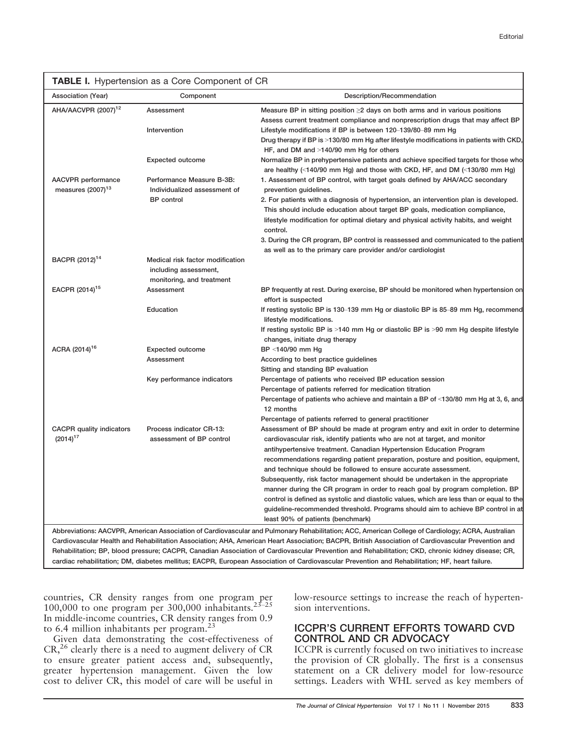|                                                     | TABLE I. Hypertension as a Core Component of CR                                        |                                                                                                                                                                                                                                                                                                                                                                                                                                                                                                                                                                                                                                                                                                                                                                                 |
|-----------------------------------------------------|----------------------------------------------------------------------------------------|---------------------------------------------------------------------------------------------------------------------------------------------------------------------------------------------------------------------------------------------------------------------------------------------------------------------------------------------------------------------------------------------------------------------------------------------------------------------------------------------------------------------------------------------------------------------------------------------------------------------------------------------------------------------------------------------------------------------------------------------------------------------------------|
| Association (Year)                                  | Component                                                                              | Description/Recommendation                                                                                                                                                                                                                                                                                                                                                                                                                                                                                                                                                                                                                                                                                                                                                      |
| AHA/AACVPR (2007) <sup>12</sup>                     | Assessment<br>Intervention                                                             | Measure BP in sitting position $\geq 2$ days on both arms and in various positions<br>Assess current treatment compliance and nonprescription drugs that may affect BP<br>Lifestyle modifications if BP is between 120–139/80–89 mm Hg<br>Drug therapy if BP is >130/80 mm Hg after lifestyle modifications in patients with CKD,                                                                                                                                                                                                                                                                                                                                                                                                                                               |
|                                                     | <b>Expected outcome</b>                                                                | HF, and DM and >140/90 mm Hg for others<br>Normalize BP in prehypertensive patients and achieve specified targets for those who<br>are healthy (<140/90 mm Hg) and those with CKD, HF, and DM (<130/80 mm Hg)                                                                                                                                                                                                                                                                                                                                                                                                                                                                                                                                                                   |
| AACVPR performance<br>measures (2007) <sup>13</sup> | Performance Measure B-3B:<br>Individualized assessment of<br><b>BP</b> control         | 1. Assessment of BP control, with target goals defined by AHA/ACC secondary<br>prevention guidelines.<br>2. For patients with a diagnosis of hypertension, an intervention plan is developed.<br>This should include education about target BP goals, medication compliance,<br>lifestyle modification for optimal dietary and physical activity habits, and weight<br>control.<br>3. During the CR program, BP control is reassessed and communicated to the patient<br>as well as to the primary care provider and/or cardiologist                                                                                                                                                                                                                                            |
| BACPR (2012) <sup>14</sup>                          | Medical risk factor modification<br>including assessment,<br>monitoring, and treatment |                                                                                                                                                                                                                                                                                                                                                                                                                                                                                                                                                                                                                                                                                                                                                                                 |
| EACPR (2014) <sup>15</sup>                          | Assessment                                                                             | BP frequently at rest. During exercise, BP should be monitored when hypertension on<br>effort is suspected                                                                                                                                                                                                                                                                                                                                                                                                                                                                                                                                                                                                                                                                      |
|                                                     | Education                                                                              | If resting systolic BP is 130–139 mm Hg or diastolic BP is 85–89 mm Hg, recommend<br>lifestyle modifications.<br>If resting systolic BP is >140 mm Hg or diastolic BP is >90 mm Hg despite lifestyle<br>changes, initiate drug therapy                                                                                                                                                                                                                                                                                                                                                                                                                                                                                                                                          |
| ACRA (2014) <sup>16</sup>                           | <b>Expected outcome</b><br>Assessment                                                  | BP <140/90 mm Hg<br>According to best practice guidelines<br>Sitting and standing BP evaluation                                                                                                                                                                                                                                                                                                                                                                                                                                                                                                                                                                                                                                                                                 |
|                                                     | Key performance indicators                                                             | Percentage of patients who received BP education session<br>Percentage of patients referred for medication titration<br>Percentage of patients who achieve and maintain a BP of <130/80 mm Hg at 3, 6, and<br>12 months<br>Percentage of patients referred to general practitioner                                                                                                                                                                                                                                                                                                                                                                                                                                                                                              |
| <b>CACPR</b> quality indicators<br>$(2014)^{17}$    | Process indicator CR-13:<br>assessment of BP control                                   | Assessment of BP should be made at program entry and exit in order to determine<br>cardiovascular risk, identify patients who are not at target, and monitor<br>antihypertensive treatment. Canadian Hypertension Education Program<br>recommendations regarding patient preparation, posture and position, equipment,<br>and technique should be followed to ensure accurate assessment.<br>Subsequently, risk factor management should be undertaken in the appropriate<br>manner during the CR program in order to reach goal by program completion. BP<br>control is defined as systolic and diastolic values, which are less than or equal to the<br>guideline-recommended threshold. Programs should aim to achieve BP control in at<br>least 90% of patients (benchmark) |
|                                                     |                                                                                        | Abbreviations: AACVPR, American Association of Cardiovascular and Pulmonary Rehabilitation; ACC, American College of Cardiology; ACRA, Australian<br>Cardiovascular Health and Rehabilitation Association; AHA, American Heart Association; BACPR, British Association of Cardiovascular Prevention and<br>Rehabilitation; BP, blood pressure; CACPR, Canadian Association of Cardiovascular Prevention and Rehabilitation; CKD, chronic kidney disease; CR,                                                                                                                                                                                                                                                                                                                    |

cardiac rehabilitation; DM, diabetes mellitus; EACPR, European Association of Cardiovascular Prevention and Rehabilitation; HF, heart failure.

countries, CR density ranges from one program per 100,000 to one program per  $300,000$  inhabitants.<sup>23-25</sup> In middle-income countries, CR density ranges from 0.9 to 6.4 million inhabitants per program.<sup>23</sup>

Given data demonstrating the cost-effectiveness of CR,<sup>26</sup> clearly there is a need to augment delivery of CR to ensure greater patient access and, subsequently, greater hypertension management. Given the low cost to deliver CR, this model of care will be useful in low-resource settings to increase the reach of hypertension interventions.

# ICCPR'S CURRENT EFFORTS TOWARD CVD CONTROL AND CR ADVOCACY

ICCPR is currently focused on two initiatives to increase the provision of CR globally. The first is a consensus statement on a CR delivery model for low-resource settings. Leaders with WHL served as key members of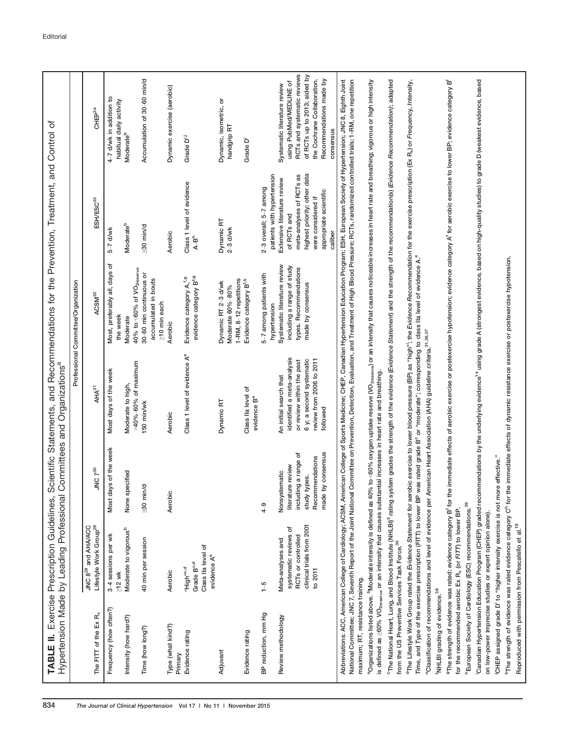|                                                           | Hypertension Made by Leading Professional                                                                |                                                                                                                          | Organizations <sup>a</sup>                                                                                                                            | Professional Committee/Organization                                                                                                                                                                                                                                                                                                                                                                                      |                                                                                                                                                                   |                                                                                                                                                                                               |
|-----------------------------------------------------------|----------------------------------------------------------------------------------------------------------|--------------------------------------------------------------------------------------------------------------------------|-------------------------------------------------------------------------------------------------------------------------------------------------------|--------------------------------------------------------------------------------------------------------------------------------------------------------------------------------------------------------------------------------------------------------------------------------------------------------------------------------------------------------------------------------------------------------------------------|-------------------------------------------------------------------------------------------------------------------------------------------------------------------|-----------------------------------------------------------------------------------------------------------------------------------------------------------------------------------------------|
| The FITT of the Ex <sub>R</sub>                           | JNC 8 <sup>28</sup> and AHA/ACC<br>Lifestyle Work Group <sup>29</sup>                                    | JNC 7 <sup>30</sup>                                                                                                      | AHA <sup>31</sup>                                                                                                                                     | ACSM <sup>32</sup>                                                                                                                                                                                                                                                                                                                                                                                                       | ESH/ESC <sup>33</sup>                                                                                                                                             | CHEP <sup>34</sup>                                                                                                                                                                            |
| Frequency (how often?)                                    | 3-4 sessions per wk<br>$\geq$ 12 wk                                                                      | Most days of the week                                                                                                    | Most days of the week                                                                                                                                 | Most, preferably all, days of<br>the week                                                                                                                                                                                                                                                                                                                                                                                | $5-7$ d/wk                                                                                                                                                        | 4-7 d/wk in addition to<br>habitual daily activity                                                                                                                                            |
| Intensity (how hard?)                                     | Moderate to vigorous <sup>b</sup>                                                                        | specified<br>None:                                                                                                       | Moderate to high,                                                                                                                                     | Moderate                                                                                                                                                                                                                                                                                                                                                                                                                 | Moderate <sup>b</sup>                                                                                                                                             | Moderate <sup>b</sup>                                                                                                                                                                         |
| Time (how long?)                                          | 40 min per session                                                                                       | min/d<br>$\lesssim 0$                                                                                                    | $>40\% - 60\%$ of maximum<br>150 min/wk                                                                                                               | $40\%$ to $\leq 60\%$ of VO <sub>2reserve</sub><br>30-60 min continuous or<br>accumulated in bouts                                                                                                                                                                                                                                                                                                                       | $\geq 30$ min/d                                                                                                                                                   | Accumulation of 30-60 min/d                                                                                                                                                                   |
| Type (what kind?)<br>Primary                              | Aerobic                                                                                                  | Aerobic                                                                                                                  | Aerobic                                                                                                                                               | $\geq$ 10 min each<br>Aerobic                                                                                                                                                                                                                                                                                                                                                                                            | Aerobic                                                                                                                                                           | Dynamic exercise (aerobic)                                                                                                                                                                    |
| Evidence rating                                           | Class IIa level of<br>evidence A <sup>e</sup><br>Grade B <sup>c,d</sup><br>"High" <sup>c,d</sup>         |                                                                                                                          | Class 1 level of evidence A <sup>e</sup>                                                                                                              | evidence category B <sup>1,9</sup><br>Evidence category A, <sup>f,g</sup>                                                                                                                                                                                                                                                                                                                                                | Class 1 level of evidence<br>$A-Bh$                                                                                                                               | Grade D <sup>i.i</sup>                                                                                                                                                                        |
| Adjuvant                                                  |                                                                                                          |                                                                                                                          | Dynamic RT                                                                                                                                            | 1-RM, 8-12 repetitions<br>Dynamic RT 2-3 d/wk<br>Moderate 60%-80%                                                                                                                                                                                                                                                                                                                                                        | Dynamic RT<br>$2-3$ d/wk                                                                                                                                          | Dynamic, isometric, or<br>handgrip RT                                                                                                                                                         |
| Evidence rating                                           |                                                                                                          |                                                                                                                          | Class IIa level of<br>evidence B <sup>e</sup>                                                                                                         | Evidence category B <sup>f,k</sup>                                                                                                                                                                                                                                                                                                                                                                                       |                                                                                                                                                                   | Grade D <sup>i</sup>                                                                                                                                                                          |
| BP reduction, mm Hg                                       | $\frac{5}{1}$                                                                                            | $^{4-9}$                                                                                                                 |                                                                                                                                                       | 5-7 among patients with<br>hypertension                                                                                                                                                                                                                                                                                                                                                                                  | patients with hypertension<br>2-3 overall; 5-7 among                                                                                                              |                                                                                                                                                                                               |
| Review methodology                                        | clinical trials from 2001<br>systematic reviews of<br>RCTs or controlled<br>Meta-analyses and<br>to 2011 | made by consensus<br>including a range of<br>Recommendations<br>literature review<br>Nonsystematic<br>study types.       | identified a meta-analysis<br>6 y; a second systematic<br>review from 2006 to 2011<br>or review within the past<br>An initial search that<br>followed | Systematic literature review<br>including a range of study<br>types. Recommendations<br>made by consensus                                                                                                                                                                                                                                                                                                                | highest priority; other data<br>meta-analyses of RCTs as<br>Extensive literature review<br>appropriate scientific<br>were considered if<br>of RCTs and<br>caliber | RCTs and systematic reviews<br>of RCTs up to 2013; aided by<br>the Cochrane Collaboration.<br>Recommendations made by<br>using PubMed/MEDLINE of<br>Systematic literature review<br>consensus |
| maximum; RT, resistance training.                         |                                                                                                          |                                                                                                                          |                                                                                                                                                       | Abbreviations: ACC, American College of Cardiology; ACSM, American College of Sports Medicine; CHEP, Canadian Hypertension Education Program; ESH, European Society of Hypertension; JNC 8, Eighth Joint<br>National Committee; JNC 7, Seventh Report of the Joint National Committee on Prevention, Detection, Pelation, and Treatment of High Blood Pressure; RCTs, randomized controlled trials; 1-RM, one repetition |                                                                                                                                                                   |                                                                                                                                                                                               |
|                                                           | aOrganizations listed above. <sup>b</sup> Moderate intensity is defined as                               | is defined as >60% VO <sub>2reserve</sub> or an intensity that causes substantial increases in heart rate and breathing. |                                                                                                                                                       | 40% to <60% oxygen uptake reserve (VO $_{\rm 2088000}$ ) or an intensity that causes noticeable increases in heart rate and breathing; vigorous or high intensity                                                                                                                                                                                                                                                        |                                                                                                                                                                   |                                                                                                                                                                                               |
| from the US Preventive Services Task Force. <sup>35</sup> |                                                                                                          |                                                                                                                          |                                                                                                                                                       | <sup>c</sup> The National Heart, Lung, and Blood Institute (NHLB) <sup>5</sup> rating system grades the strength of the evidence (Evidence Statement) and the strength of the recommendation(s) (Evidence Recommendation); adapted                                                                                                                                                                                       |                                                                                                                                                                   |                                                                                                                                                                                               |
|                                                           | <sup>d</sup> The Lifestyle Work Group rated the Evidence Statement for                                   |                                                                                                                          |                                                                                                                                                       | aerobic exercise to lower blood pressure (BP) as "high"; the <i>Evidence Recommendation f</i> or the exercise prescription (Ex R <sub>a</sub> ) or Frequency, Intensity,<br>Time, and Type of the exercise prescription (FITT) to lower BP was rated grade B° or "moderate"; corresponding to class IIa level of evidence A.°                                                                                            |                                                                                                                                                                   |                                                                                                                                                                                               |
| NHLBI grading of evidence. <sup>38</sup>                  |                                                                                                          |                                                                                                                          | <sup>e</sup> Classification of recommendations and level of evidence per American Heart Association (AHA) guideline criteria. <sup>31,36,37</sup>     |                                                                                                                                                                                                                                                                                                                                                                                                                          |                                                                                                                                                                   |                                                                                                                                                                                               |
|                                                           | for the recommended aerobic Ex R <sub>x</sub> (or FITT) to lower BP.                                     |                                                                                                                          |                                                                                                                                                       | "The strength of evidence was rated: evidence category B' for the immediate effects of aerobic exercise or postexercise hypotension; evidence category A' for aerobic exercise to lower BP; evidence category B'                                                                                                                                                                                                         |                                                                                                                                                                   |                                                                                                                                                                                               |
|                                                           | "European Society of Cardiology (ESC) recommendations. <sup>39</sup>                                     |                                                                                                                          |                                                                                                                                                       |                                                                                                                                                                                                                                                                                                                                                                                                                          |                                                                                                                                                                   |                                                                                                                                                                                               |
|                                                           | on low-power imprecise studies or expert opinion alone).                                                 |                                                                                                                          |                                                                                                                                                       | Canadian Hypertension Education Program (CHEP) graded recommendations by the underlying evidence <sup>14</sup> using grade A (strongest evidence, based on high-quality studies) to grade D (weakest evidence, based                                                                                                                                                                                                     |                                                                                                                                                                   |                                                                                                                                                                                               |
|                                                           | OHEP assigned grade D' to "higher intensity exercise is not                                              | more effective."                                                                                                         |                                                                                                                                                       |                                                                                                                                                                                                                                                                                                                                                                                                                          |                                                                                                                                                                   |                                                                                                                                                                                               |
|                                                           |                                                                                                          |                                                                                                                          |                                                                                                                                                       | "The strength of evidence was rated evidence category C" for the immediate effects of dynamic resistance exercise or postexercise hypotension.                                                                                                                                                                                                                                                                           |                                                                                                                                                                   |                                                                                                                                                                                               |
|                                                           | Reproduced with permission from Pescatello et al. <sup>19</sup>                                          |                                                                                                                          |                                                                                                                                                       |                                                                                                                                                                                                                                                                                                                                                                                                                          |                                                                                                                                                                   |                                                                                                                                                                                               |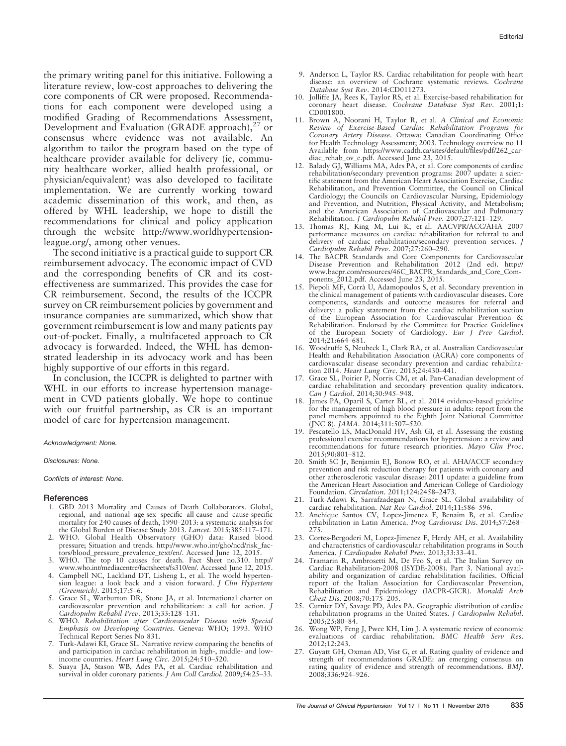the primary writing panel for this initiative. Following a literature review, low-cost approaches to delivering the core components of CR were proposed. Recommendations for each component were developed using a modified Grading of Recommendations Assessment, Development and Evaluation (GRADE approach), $^{27}$  or consensus where evidence was not available. An algorithm to tailor the program based on the type of healthcare provider available for delivery (ie, community healthcare worker, allied health professional, or physician/equivalent) was also developed to facilitate implementation. We are currently working toward academic dissemination of this work, and then, as offered by WHL leadership, we hope to distill the recommendations for clinical and policy application through the website [http://www.worldhypertension](http://www.worldhypertensionleague.org/)[league.org/](http://www.worldhypertensionleague.org/), among other venues.

The second initiative is a practical guide to support CR reimbursement advocacy. The economic impact of CVD and the corresponding benefits of CR and its costeffectiveness are summarized. This provides the case for CR reimbursement. Second, the results of the ICCPR survey on CR reimbursement policies by government and insurance companies are summarized, which show that government reimbursement is low and many patients pay out-of-pocket. Finally, a multifaceted approach to CR advocacy is forwarded. Indeed, the WHL has demonstrated leadership in its advocacy work and has been highly supportive of our efforts in this regard.

In conclusion, the ICCPR is delighted to partner with WHL in our efforts to increase hypertension management in CVD patients globally. We hope to continue with our fruitful partnership, as CR is an important model of care for hypertension management.

Acknowledgment: None.

#### Disclosures: None.

Conflicts of interest: None.

#### **References**

- 1. GBD 2013 Mortality and Causes of Death Collaborators. Global, regional, and national age-sex specific all-cause and cause-specific mortality for 240 causes of death, 1990–2013: a systematic analysis for the Global Burden of Disease Study 2013. Lancet. 2015;385:117-171.
- 2. WHO. Global Health Observatory (GHO) data: Raised blood pressure; Situation and trends. [http://www.who.int/gho/ncd/risk\\_fac](http://www.who.int/gho/ncd/risk_factors/blood_pressure_prevalence_text/en/)[tors/blood\\_pressure\\_prevalence\\_text/en/.](http://www.who.int/gho/ncd/risk_factors/blood_pressure_prevalence_text/en/) Accessed June 12, 2015.
- 3. WHO. The top 10 causes for death. Fact Sheet no.310. [http://](http://www.who.int/mediacentre/factsheets/fs310/en/) [www.who.int/mediacentre/factsheets/fs310/en/](http://www.who.int/mediacentre/factsheets/fs310/en/). Accessed June 12, 2015.
- 4. Campbell NC, Lackland DT, Lisheng L, et al. The world hypertension league: a look back and a vision forward. J Clin Hypertens (Greenwich). 2015;17:5–6.
- 5. Grace SL, Warburton DR, Stone JA, et al. International charter on cardiovascular prevention and rehabilitation: a call for action. J Cardiopulm Rehabil Prev. 2013;33:128–131.
- WHO. Rehabilitation after Cardiovascular Disease with Special Emphasis on Developing Countries. Geneva: WHO; 1993. WHO Technical Report Series No 831.
- 7. Turk-Adawi KI, Grace SL. Narrative review comparing the benefits of and participation in cardiac rehabilitation in high-, middle- and low-
- income countries. Heart Lung Circ. 2015;24:510–520. 8. Suaya JA, Stason WB, Ades PA, et al. Cardiac rehabilitation and survival in older coronary patients. J Am Coll Cardiol. 2009;54:25–33.
- 9. Anderson L, Taylor RS. Cardiac rehabilitation for people with heart disease: an overview of Cochrane systematic reviews. Cochrane Database Syst Rev. 2014:CD011273.
- 10. Jolliffe JA, Rees K, Taylor RS, et al. Exercise-based rehabilitation for coronary heart disease. Cochrane Database Syst Rev. 2001;1: CD001800.
- 11. Brown A, Noorani H, Taylor R, et al. A Clinical and Economic Review of Exercise-Based Cardiac Rehabilitation Programs for Coronary Artery Disease. Ottawa: Canadian Coordinating Office for Health Technology Assessment; 2003. Technology overview no 11 Available from [https://www.cadth.ca/sites/default/files/pdf/262\\_car](http://www.who.int/gho/ncd/risk_factors/blood_pressure_prevalence_text/en/)[diac\\_rehab\\_ov\\_e.pdf](http://www.who.int/gho/ncd/risk_factors/blood_pressure_prevalence_text/en/). Accessed June 23, 2015. 12. Balady GJ, Williams MA, Ades PA, et al. Core components of cardiac
- rehabilitation/secondary prevention programs: 2007 update: a scientific statement from the American Heart Association Exercise, Cardiac Rehabilitation, and Prevention Committee, the Council on Clinical Cardiology; the Councils on Cardiovascular Nursing, Epidemiology and Prevention, and Nutrition, Physical Activity, and Metabolism; and the American Association of Cardiovascular and Pulmonary Rehabilitation. J Cardiopulm Rehabil Prev. 2007;27:121–129.
- 13. Thomas RJ, King M, Lui K, et al. AACVPR/ACC/AHA 2007 performance measures on cardiac rehabilitation for referral to and delivery of cardiac rehabilitation/secondary prevention services. J Cardiopulm Rehabil Prev. 2007;27:260–290.
- 14. The BACPR Standards and Core Components for Cardiovascular Disease Prevention and Rehabilitation 2012 (2nd ed). [http://](http://www.who.int/gho/ncd/risk_factors/blood_pressure_prevalence_text/en/) [www.bacpr.com/resources/46C\\_BACPR\\_Standards\\_and\\_Core\\_Com-](http://www.who.int/gho/ncd/risk_factors/blood_pressure_prevalence_text/en/)
- [ponents\\_2012.pdf.](http://www.who.int/gho/ncd/risk_factors/blood_pressure_prevalence_text/en/) Accessed June 23, 2015. 15. Piepoli MF, Corra U, Adamopoulos S, et al. Secondary prevention in the clinical management of patients with cardiovascular diseases. Core components, standards and outcome measures for referral and delivery: a policy statement from the cardiac rehabilitation section of the European Association for Cardiovascular Prevention & Rehabilitation. Endorsed by the Committee for Practice Guidelines of the European Society of Cardiology. Eur J Prev Cardiol. 2014;21:664–681.
- 16. Woodruffe S, Neubeck L, Clark RA, et al. Australian Cardiovascular Health and Rehabilitation Association (ACRA) core components of cardiovascular disease secondary prevention and cardiac rehabilita-tion 2014. Heart Lung Circ. 2015;24:430–441.
- 17. Grace SL, Poirier P, Norris CM, et al. Pan-Canadian development of cardiac rehabilitation and secondary prevention quality indicators. Can J Cardiol. 2014;30:945–948.
- 18. James PA, Oparil S, Carter BL, et al. 2014 evidence-based guideline for the management of high blood pressure in adults: report from the panel members appointed to the Eighth Joint National Committee
- (JNC 8). JAMA. 2014;311:507–520. 19. Pescatello LS, MacDonald HV, Ash GI, et al. Assessing the existing professional exercise recommendations for hypertension: a review and recommendations for future research priorities. Mayo Clin Proc. 2015;90:801–812.
- 20. Smith SC Jr, Benjamin EJ, Bonow RO, et al. AHA/ACCF secondary prevention and risk reduction therapy for patients with coronary and other atherosclerotic vascular disease: 2011 update: a guideline from the American Heart Association and American College of Cardiology Foundation. Circulation. 2011;124:2458–2473.
- 21. Turk-Adawi K, Sarrafzadegan N, Grace SL. Global availability of cardiac rehabilitation. Nat Rev Cardiol. 2014;11:586–596.
- 22. Anchique Santos CV, Lopez-Jimenez F, Benaim B, et al. Cardiac rehabilitation in Latin America. Prog Cardiovasc Dis. 2014;57:268– 275.
- 23. Cortes-Bergoderi M, Lopez-Jimenez F, Herdy AH, et al. Availability and characteristics of cardiovascular rehabilitation programs in South America. J Cardiopulm Rehabil Prev. 2013;33:33–41.
- 24. Tramarin R, Ambrosetti M, De Feo S, et al. The Italian Survey on Cardiac Rehabilitation-2008 (ISYDE-2008). Part 3. National availability and organization of cardiac rehabilitation facilities. Official report of the Italian Association for Cardiovascular Prevention, Rehabilitation and Epidemiology (IACPR-GICR). Monaldi Arch Chest Dis. 2008;70:175–205.
- 25. Curnier DY, Savage PD, Ades PA. Geographic distribution of cardiac rehabilitation programs in the United States. J Cardiopulm Rehabil. 2005;25:80–84.
- 26. Wong WP, Feng J, Pwee KH, Lim J. A systematic review of economic evaluations of cardiac rehabilitation. BMC Health Serv Res. 2012;12:243.
- 27. Guyatt GH, Oxman AD, Vist G, et al. Rating quality of evidence and strength of recommendations GRADE: an emerging consensus on rating quality of evidence and strength of recommendations. BMJ. 2008;336:924–926.